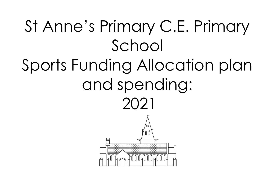## St Anne's Primary C.E. Primary School Sports Funding Allocation plan and spending: 2021<del>₹₹₹₹₹₹₹₹₹₹₹₹</del><br>d 0 0 d 0 0 0 d 0 0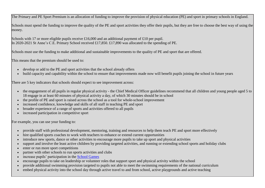The Primary and PE Sport Premium is an allocation of funding to improve the provision of physical education (PE) and sport in primary schools in England.

Schools must spend the funding to improve the quality of the PE and sport activities they offer their pupils, but they are free to choose the best way of using the money.

Schools with 17 or more eligible pupils receive £16,000 and an additional payment of £10 per pupil. In 2020-2021 St Anne's C.E. Primary School received £17,850. £17,890 was allocated to the spending of PE.

Schools must use the funding to make additional and sustainable improvements to the quality of PE and sport that are offered.

This means that the premium should be used to:

- develop or add to the PE and sport activities that the school already offers
- build capacity and capability within the school to ensure that improvements made now will benefit pupils joining the school in future years

There are 5 key indicators that schools should expect to see improvement across:

- the engagement of all pupils in regular physical activity the Chief Medical Officer guidelines recommend that all children and young people aged 5 to 18 engage in at least 60 minutes of physical activity a day, of which 30 minutes should be in school
- the profile of PE and sport is raised across the school as a tool for whole-school improvement
- increased confidence, knowledge and skills of all staff in teaching PE and sport
- broader experience of a range of sports and activities offered to all pupils
- increased participation in competitive sport

For example, you can use your funding to:

- provide staff with professional development, mentoring, training and resources to help them teach PE and sport more effectively
- hire qualified sports coaches to work with teachers to enhance or extend current opportunities
- introduce new sports, dance or other activities to encourage more pupils to take up sport and physical activities
- support and involve the least active children by providing targeted activities, and running or extending school sports and holiday clubs
- enter or run more sport competitions
- partner with other schools to run sports activities and clubs
- increase pupils' participation in the [School Games](https://www.gov.uk/government/policies/getting-more-people-playing-sport/supporting-pages/the-school-games)
- encourage pupils to take on leadership or volunteer roles that support sport and physical activity within the school
- provide additional swimming provision targeted to pupils not able to meet the swimming requirements of the national curriculum
- embed physical activity into the school day through active travel to and from school, active playgrounds and active teaching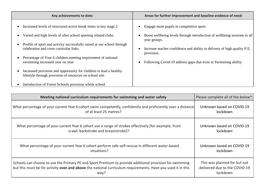| Key achievements to date:                                                                                                                                                                                                                                                                                                                                                                                                                                                                                                                               | Areas for further improvement and baseline evidence of need:                                                                                                                                                                                                                                                   |
|---------------------------------------------------------------------------------------------------------------------------------------------------------------------------------------------------------------------------------------------------------------------------------------------------------------------------------------------------------------------------------------------------------------------------------------------------------------------------------------------------------------------------------------------------------|----------------------------------------------------------------------------------------------------------------------------------------------------------------------------------------------------------------------------------------------------------------------------------------------------------------|
| Increased levels of structured active break times in key stage 2.<br>Varied and high levels of after school sporting related clubs.<br>Profile of sport and activity successfully raised at our school through<br>celebration and cross curricular links<br>Percentage of Year 6 children meeting requirement of national<br>swimming increased year on year<br>Increased provision and opportunity for children to lead a healthy<br>lifestyle through provision of resources on school site.<br>Introduction of Forest Schools provision whole school | Engage more pupils in competitive sport.<br>Boost wellbeing levels through introduction of wellbeing sessions in all<br>year groups.<br>Increase teacher confidence and ability in delivery of high quality P.E.<br>provision.<br>Following Covid-19 address gaps that exist in Swimming ability.<br>$\bullet$ |

| Meeting national curriculum requirements for swimming and water safety                                       | Please complete all of the below*: |
|--------------------------------------------------------------------------------------------------------------|------------------------------------|
| What percentage of your current Year 6 cohort swim competently, confidently and proficiently over a distance | Unknown based on COVID-19          |
| of at least 25 metres?                                                                                       | lockdown                           |
| What percentage of your current Year 6 cohort use a range of strokes effectively [for example, front         | Unknown based on COVID-19          |
| crawl, backstroke and breaststroke]?                                                                         | lockdown                           |
| What percentage of your current Year 6 cohort perform safe self-rescue in different water-based              | Unknown based on COVID-19          |
| situations?                                                                                                  | lockdown                           |
| Schools can choose to use the Primary PE and Sport Premium to provide additional provision for swimming      | This was planned for but not       |
| but this must be for activity over and above the national curriculum requirements. Have you used it in this  | delivered due to the COVID-19      |
| way?                                                                                                         | lockdown                           |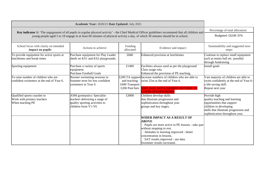| Academic Year: 2020/21 Date Updated: July 2021                                                                                                                                                                                                                                      |                                                                                                                              |                                                  |                                                                                                                                                                                                                                                                               |                                                                                                                                                                                    |
|-------------------------------------------------------------------------------------------------------------------------------------------------------------------------------------------------------------------------------------------------------------------------------------|------------------------------------------------------------------------------------------------------------------------------|--------------------------------------------------|-------------------------------------------------------------------------------------------------------------------------------------------------------------------------------------------------------------------------------------------------------------------------------|------------------------------------------------------------------------------------------------------------------------------------------------------------------------------------|
|                                                                                                                                                                                                                                                                                     | Percentage of total allocation:                                                                                              |                                                  |                                                                                                                                                                                                                                                                               |                                                                                                                                                                                    |
| Key indicator 1: 'The engagement of all pupils in regular physical activity' - the Chief Medical Officer guidelines recommend that all children and<br>young people aged 5 to 18 engage in at least 60 minutes of physical activity a day, of which 30 minutes should be in school. |                                                                                                                              |                                                  |                                                                                                                                                                                                                                                                               | Budgeted: £6240 35%                                                                                                                                                                |
| School focus with clarity on intended<br>impact on pupils:                                                                                                                                                                                                                          | Actions to achieve:                                                                                                          | Funding<br>allocated:                            | Evidence and impact:                                                                                                                                                                                                                                                          | Sustainability and suggested next<br>steps:                                                                                                                                        |
| To provide equipment for active sports at<br>lunchtimes and break times                                                                                                                                                                                                             | Purchase equipment for Play Leader<br>sheds on KS1 and KS2 playgrounds.                                                      | £840                                             | Enhanced provision at lunchtimes                                                                                                                                                                                                                                              | Continue to replace small equipment<br>such as tennis ball etc. possibly<br>through fundraising                                                                                    |
| Sporting equipment                                                                                                                                                                                                                                                                  | Purchase a variety of sports<br>equipment.<br><b>Purchase Football Goals</b>                                                 | £1400                                            | Facilities always used as per the playground<br>Class usage rota.<br>Enhanced the provision of PE teaching.                                                                                                                                                                   | Install goals                                                                                                                                                                      |
| To raise number of children who are<br>confident swimmers at the end of Year 6.                                                                                                                                                                                                     | Booster swimming sessions in<br>Summer term for less confident<br>swimmers in Year 6                                         | and teaching<br>£600 Transport<br>£200 Pool hire | £200 TA support Increase numbers of children who are able to<br>swim 25m at the end of Year 6.<br>THIS WAS NOT CARRIED OUT DUE TO<br><b>COVID-19 LOCKDOWN</b>                                                                                                                 | Vast majority of children are able to<br>swim confidently at the end of Year 6-<br>a life-saving skill.<br>Repeat next year                                                        |
| Qualified sports coaches to<br>Work with primary teachers<br>When teaching PE                                                                                                                                                                                                       | <b>ASM</b> gymnastics: Specialist<br>teachers delivering a range of<br>quality sporting activities to<br>children from Y1-Y6 | £3000                                            | Children develop skills<br>that illustrate progression and<br>sophistication throughout year<br>groups and key stages.                                                                                                                                                        | Provide high<br>quality teaching and learning<br>opportunities that support<br>children in developing<br>skills that illustrate progression and<br>sophistication throughout year. |
|                                                                                                                                                                                                                                                                                     |                                                                                                                              |                                                  | <b>WIDER IMPACT AS A RESULT OF</b><br><b>ABOVE</b><br>Pupils are more active in PE lessons - take part<br>without stopping to rest.<br>Attitudes to learning improved - better<br>concentration in lessons.<br>SAT results improved - see data.<br>Swimmer results increased. |                                                                                                                                                                                    |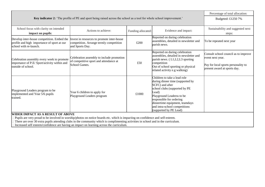|                                                                                                                                                                                                                                                                                                                                                                                                       | Percentage of total allocation:                                                                          |                    |                                                                                                                                                                                                                                                                                     |                                                                                                                                 |
|-------------------------------------------------------------------------------------------------------------------------------------------------------------------------------------------------------------------------------------------------------------------------------------------------------------------------------------------------------------------------------------------------------|----------------------------------------------------------------------------------------------------------|--------------------|-------------------------------------------------------------------------------------------------------------------------------------------------------------------------------------------------------------------------------------------------------------------------------------|---------------------------------------------------------------------------------------------------------------------------------|
| Key indicator 2: 'The profile of PE and sport being raised across the school as a tool for whole school improvement.'                                                                                                                                                                                                                                                                                 | Budgeted: £1250 7%                                                                                       |                    |                                                                                                                                                                                                                                                                                     |                                                                                                                                 |
|                                                                                                                                                                                                                                                                                                                                                                                                       |                                                                                                          |                    |                                                                                                                                                                                                                                                                                     |                                                                                                                                 |
| School focus with clarity on intended<br>impact on pupils:                                                                                                                                                                                                                                                                                                                                            | Actions to achieve:                                                                                      | Funding allocated: | Evidence and impact:                                                                                                                                                                                                                                                                | Sustainability and suggested next<br>steps:                                                                                     |
| Develop inter-house competition. Embed the<br>profile and high importance of sport at our<br>school with re-launch.                                                                                                                                                                                                                                                                                   | Invest in resources to promote inter-house<br>competition. Arrange termly competition<br>and Sports Day. | £200               | Reported on during celebration<br>assemblies, detailed in newsletter and<br>parish news.                                                                                                                                                                                            | To be repeated next year                                                                                                        |
| Celebration assembly every week to promote<br>importance of P.E/ Sport/activity within and<br>outside of school.                                                                                                                                                                                                                                                                                      | Celebration assembly to include promotion<br>of competitive sport and attendance at<br>School Games.     | £50                | Reported on during celebration<br>assemblies, detailed in newsletter and<br>parish news. (L1, L2, L3 sporting<br>competition<br>Out of school sporting or physical<br>related activity e.g walking)                                                                                 | Consult school council as to improve<br>event next year.<br>Pay for local sports personality to<br>present award at sports day. |
| Playground Leaders program to be<br>implemented and Year 5/6 pupils<br>trained.                                                                                                                                                                                                                                                                                                                       | Year 6 children to apply for<br>Playground Leaders program                                               | £1000              | Children to take a lead role<br>during dinner time (supported by<br>SCFC) and after<br>school clubs (supported by PE<br>Lead)<br>Playground Leaderss to be<br>responsible for ordering<br>dinnertime equipment, teamdays<br>and intra-school competitions<br>(supported by PE Lead) |                                                                                                                                 |
| WIDER IMPACT AS A RESULT OF ABOVE<br>Pupils are very proud to be involved in worship/photos on notice boards etc. which is impacting on confidence and self-esteem.<br>There are over 30 extra pupils attending clubs in the community which is complimenting activities in school and in the curriculum.<br>Increased self esteem/confidence are having an impact on learning across the curriculum. |                                                                                                          |                    |                                                                                                                                                                                                                                                                                     |                                                                                                                                 |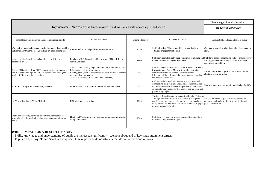|                                                                                                                                                                                    | Percentage of total allocation:                                                                                                                                                                                                                     |                    |                                                                                                                                                                                                                                                                                                   |                                                                                                     |
|------------------------------------------------------------------------------------------------------------------------------------------------------------------------------------|-----------------------------------------------------------------------------------------------------------------------------------------------------------------------------------------------------------------------------------------------------|--------------------|---------------------------------------------------------------------------------------------------------------------------------------------------------------------------------------------------------------------------------------------------------------------------------------------------|-----------------------------------------------------------------------------------------------------|
| Key indicator 3: 'Increased confidence, knowledge and skills of all staff in teaching PE and sport.'                                                                               | Budgeted: £3900 22%                                                                                                                                                                                                                                 |                    |                                                                                                                                                                                                                                                                                                   |                                                                                                     |
| School focus with clarity on intended impact on pupils:                                                                                                                            | Actions to achieve:                                                                                                                                                                                                                                 | Funding allocated: | Evidence and impact:                                                                                                                                                                                                                                                                              | Sustainability and suggested next steps:                                                            |
| With a view to maintaining and developing standards of teaching Consult with staff and purchase on-line resource<br>and learning within the school, purchase on line planning tool |                                                                                                                                                                                                                                                     | £150               | Staff delivering P.E more confident, promoting better<br>T&L and engagement of pupils.                                                                                                                                                                                                            | Continue with on-line planning tool as this valued by<br>staff.                                     |
| Increase teacher knowledge and confidence in different<br>curriculum areas.                                                                                                        | Purchase of P.E. Essentials which involves CPD in different<br>curriculum areas.                                                                                                                                                                    | £600               | Staff more confident delivering curriculum swimming and Staff have possess appropriate skills to ensure delivery<br>trained to adequate and confident level.                                                                                                                                      | is of high standard resulting in far more positive<br>experience for children.                      |
| Bronze CPD package from SCFC to raise teacher confidence and<br>ability in delivering high-quality P.E. sessions and raising the<br>profile of P.E. across the curriculum.         | Active Maths (Year 2) taught children how to link Maths and<br>P.E. together. (6-week programme)<br>Reading Stars (Year 6) encouraged reluctant readers to develop<br>more of a love for reading.<br>Teacher to Teacher CPD (Year 1 and 2 teachers) | £1500              | Less able mathematicians became more engaged in Maths<br>lessons through Active Maths with results improving.<br>Reluctant Readers developed a love for reading<br>P.E. lesson delivery improved through increased teacher<br>confidence and ability.                                             | Repeat next academic year to further raise teacher<br>ability in identified areas.                  |
| Forest Schools Qualification delivery achieved                                                                                                                                     | Forest Leader Qualification Achieved for member of staff                                                                                                                                                                                            | £1000              | Children had the freedom, time and space to learn and<br>demonstrate independence. Social skills: children gained<br>increased awareness of the <b>consequences</b> of their actions<br>on peers through team activities such as sharing tools and<br>participating in play.                      | Forest Schools sessions built into the budget for 2020-                                             |
| L4 PE qualification in PE for PE lead                                                                                                                                              | PE lead to attend L4 training                                                                                                                                                                                                                       | £350               | The Level 4 Qualification in Supporting Pupils' Wellbeing<br>Through Physical Education is a nationally recognised<br>qualification that enables delegates to become specialists<br>in supporting the emotional and social wellbeing of pupils physical education.<br>through physical education. | PE lead has become specialist in supporting the<br>emotional and social wellbeing of pupils through |
| Health and wellbeing activities for staff ensure that staff are<br>better placed to deliver high quality learning opportunities for<br>pupils.                                     | Health and Wellbeing weekly sessions online covering variety<br>of topics delivered.                                                                                                                                                                | £300               | Staff have received five session coaching them into how<br>to live healthily, sleep eating etc.                                                                                                                                                                                                   |                                                                                                     |

## **WIDER IMPACT AS A RESULT OF ABOVE**

Skills, knowledge and understanding of pupils are increased significantly - see note about end of key stage attainment targets Pupils really enjoy PE and Sport, are very keen to take part and demonstrate a real desire to learn and improve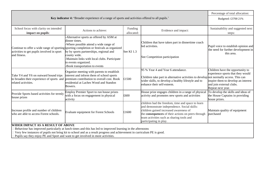|                                                                                                                                                                                                                                                                            |                                                                                                                                                                                                                                                                                                                                                                     |                       |                                                                                                                                                                                                                                                                          | Percentage of total allocation:                                                                                                                               |
|----------------------------------------------------------------------------------------------------------------------------------------------------------------------------------------------------------------------------------------------------------------------------|---------------------------------------------------------------------------------------------------------------------------------------------------------------------------------------------------------------------------------------------------------------------------------------------------------------------------------------------------------------------|-----------------------|--------------------------------------------------------------------------------------------------------------------------------------------------------------------------------------------------------------------------------------------------------------------------|---------------------------------------------------------------------------------------------------------------------------------------------------------------|
| Key indicator 4: 'Broader experience of a range of sports and activities offered to all pupils.'                                                                                                                                                                           |                                                                                                                                                                                                                                                                                                                                                                     |                       |                                                                                                                                                                                                                                                                          | Budgeted: £3700 21%                                                                                                                                           |
| School focus with clarity on intended<br>impact on pupils:                                                                                                                                                                                                                 | Actions to achieve:                                                                                                                                                                                                                                                                                                                                                 | Funding<br>allocated: | Evidence and impact:                                                                                                                                                                                                                                                     | Sustainability and suggested next<br>steps:                                                                                                                   |
| activities to get pupils involved in sport<br>and fitness.                                                                                                                                                                                                                 | Alternative sports as offered by ASM at<br>dinner times.<br>-Where possible attend a wide range of<br>Continue to offer a wide range of sporting sporting completion or festivals as organized<br>by by sports partnerships, regional and<br>county wide.<br>-Maintain links with local clubs. Participate<br>in events organized.<br>Book transportation to events | See KI 1.3            | Children that have taken part in dinnertime coach<br>led activities.<br>See Competition participation                                                                                                                                                                    | Pupil voice to establish opinion and<br>the need for further development in<br>this area.                                                                     |
| Take Y4 and Y6 on outward bound trips<br>to broaden their experience of sports and<br>related activities.                                                                                                                                                                  | Organize meeting with parents to establish<br>interest and inform them of school sports<br>premium contribution to overall cost. Book<br>residential at Laches Wood and Standon<br>Bowers.                                                                                                                                                                          | £1500                 | 95 % Year 4 and Year 6 attendance.<br>Children take part in alternative activities to develop not normally access. This can<br>wider skills, to develop a healthy lifestyle and to<br>enhance their self-esteem.                                                         | Children have the opportunity to<br>experience sports that they would<br>inspire them to develop an interest<br>and join external clubs.<br>Repeat next year. |
| Provide Sports based activities for termly<br>house prizes                                                                                                                                                                                                                 | Employ Premier Sport to run house prizes<br>with a focus on engagement in physical<br>activity                                                                                                                                                                                                                                                                      | £600                  | House prize engages children in a range of physical<br>activity and promotes new sports and activities                                                                                                                                                                   | To develop the skills and ideas of<br>the House Captains in providing<br>house prizes.                                                                        |
| Increase profile and number of children<br>who are able to access Forest schools.                                                                                                                                                                                          | <b>Evaluate equipment for Forest Schools</b>                                                                                                                                                                                                                                                                                                                        | £1600                 | children had the freedom, time and space to learn<br>and demonstrate independence. Social skills:<br>children gained increased awareness of<br>the consequences of their actions on peers through<br>team activities such as sharing tools and<br>participating in play. | Maintain quality of equipment<br>purchased                                                                                                                    |
| WIDER IMPACT AS A RESULT OF ABOVE<br>Behaviour has improved particularly at lunch times and this has led to improved learning in the afternoons<br>Very few instances of pupils not bring kit to school and as a result progress and achievement in curriculum PE is good. |                                                                                                                                                                                                                                                                                                                                                                     |                       |                                                                                                                                                                                                                                                                          |                                                                                                                                                               |

Pupils say they enjoy PE and Sport and want to get involved in more activities.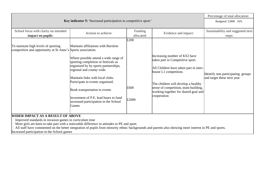|                                                                                                                                                                                                                                                                                                                                                       |                                                                                         |            |                                                                              | Percentage of total allocation:   |
|-------------------------------------------------------------------------------------------------------------------------------------------------------------------------------------------------------------------------------------------------------------------------------------------------------------------------------------------------------|-----------------------------------------------------------------------------------------|------------|------------------------------------------------------------------------------|-----------------------------------|
| Key indicator 5: 'Increased participation in competitive sport.'                                                                                                                                                                                                                                                                                      |                                                                                         |            |                                                                              | Budgeted: £2800 16%               |
|                                                                                                                                                                                                                                                                                                                                                       |                                                                                         |            |                                                                              |                                   |
| School focus with clarity on intended                                                                                                                                                                                                                                                                                                                 | Actions to achieve:                                                                     | Funding    | Evidence and impact:                                                         | Sustainability and suggested next |
| impact on pupils:                                                                                                                                                                                                                                                                                                                                     |                                                                                         | allocated: |                                                                              | steps:                            |
|                                                                                                                                                                                                                                                                                                                                                       |                                                                                         | £200       |                                                                              |                                   |
| To maintain high levels of sporting                                                                                                                                                                                                                                                                                                                   | Maintain affiliations with Burslem                                                      |            |                                                                              |                                   |
| competition and opportunity at St Anne's Sports association.                                                                                                                                                                                                                                                                                          |                                                                                         |            |                                                                              |                                   |
|                                                                                                                                                                                                                                                                                                                                                       | Where possible attend a wide range of<br>sporting completion or festivals as            |            | Increasing number of KS2 have<br>taken part in Competitive sport.            |                                   |
|                                                                                                                                                                                                                                                                                                                                                       | organized by by sports partnerships,<br>regional and county wide.                       |            | All Children have taken part in inter-<br>house L1 competition.              | Identify non participating groups |
|                                                                                                                                                                                                                                                                                                                                                       | Maintain links with local clubs.<br>Participate in events organized.                    |            | The children will develop a healthy                                          | and target these next year        |
|                                                                                                                                                                                                                                                                                                                                                       | Book transportation to events                                                           | £600       | sense of competition, team building,<br>working together for shared goal and |                                   |
|                                                                                                                                                                                                                                                                                                                                                       | Investment of P.E. lead hours to fund<br>increased participation in the School<br>Games | £2000      | cooperation                                                                  |                                   |
| WIDER IMPACT AS A RESULT OF ABOVE<br>Improved standards in invasion games in curriculum time<br>More girls are keen to take part with a noticeable difference in attitudes to PE and sport.<br>All staff have commented on the better integration of pupils from minority ethnic backgrounds and parents also showing more interest in PE and sports. |                                                                                         |            |                                                                              |                                   |
| Increased participation in the School games                                                                                                                                                                                                                                                                                                           |                                                                                         |            |                                                                              |                                   |